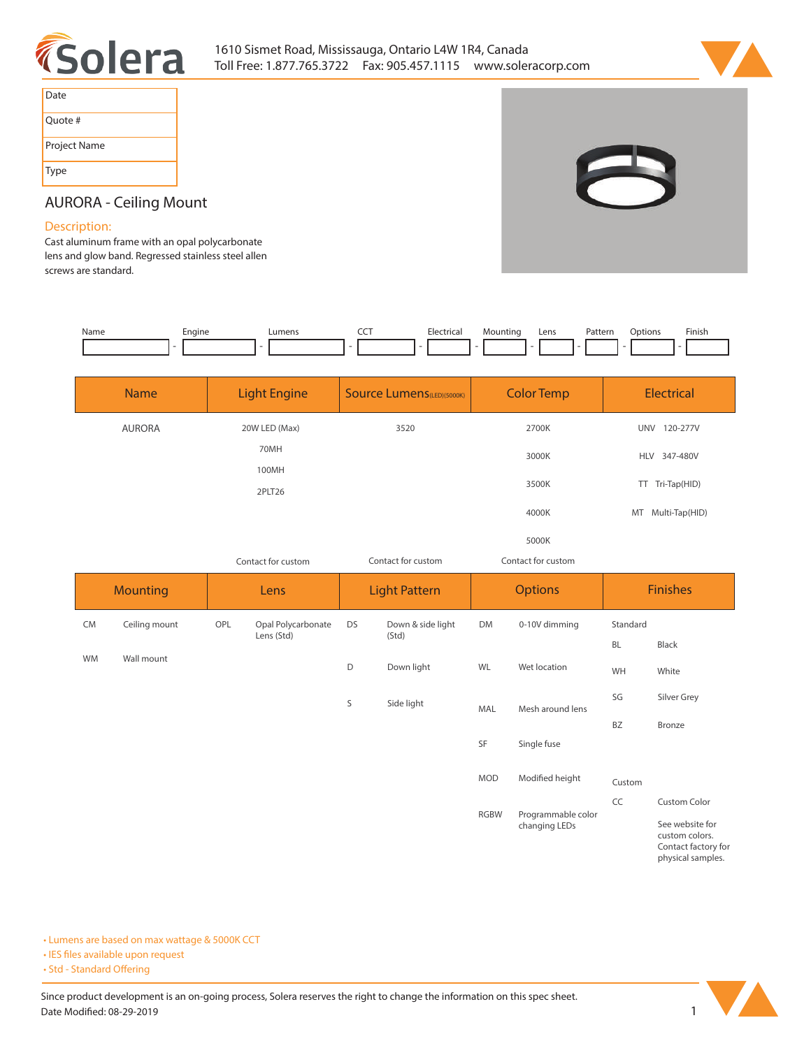



| Date         |
|--------------|
| Quote #      |
| Project Name |
| Type         |



# **AURORA - Ceiling Mount**

### **Description:**

**Cast aluminum frame with an opal polycarbonate lens and glow band. Regressed stainless steel allen screws are standard.** 

| Name | Enaine | ∟umens | <b>CONTRACT</b> | Electricai | Mountinc | Lens | $D$ nttorr<br>atter. | Jptions | Finish |
|------|--------|--------|-----------------|------------|----------|------|----------------------|---------|--------|
|      |        |        |                 |            |          |      |                      |         |        |

| <b>Name</b>   | <b>Light Engine</b> | <b>Source Lumens</b> (LED)(5000K) | <b>Color Temp</b>  | Electrical        |
|---------------|---------------------|-----------------------------------|--------------------|-------------------|
| <b>AURORA</b> | 20W LED (Max)       | 3520                              | 2700K              | UNV 120-277V      |
|               | 70MH                |                                   | 3000K              | HLV 347-480V      |
|               | 100MH               |                                   | 3500K              | TT Tri-Tap(HID)   |
|               | 2PLT26              |                                   | 4000K              | MT Multi-Tap(HID) |
|               |                     |                                   | 5000K              |                   |
|               | Contact for custom  | Contact for custom                | Contact for custom |                   |

|           | <b>Mounting</b> |     | <b>Lens</b>         |    | <b>Light Pattern</b> |             | <b>Options</b>     |           | <b>Finishes</b>                                                               |  |
|-----------|-----------------|-----|---------------------|----|----------------------|-------------|--------------------|-----------|-------------------------------------------------------------------------------|--|
| <b>CM</b> | Ceiling mount   | OPL | Opal Polycarbonate  | DS | Down & side light    | <b>DM</b>   | 0-10V dimming      | Standard  |                                                                               |  |
|           |                 |     | Lens (Std)<br>(Std) |    |                      |             | <b>BL</b>          | Black     |                                                                               |  |
| <b>WM</b> | Wall mount      |     |                     | D  | Down light           | WL          | Wet location       | WH        | White                                                                         |  |
|           |                 |     |                     | S  | Side light           | MAL         | Mesh around lens   | SG        | Silver Grey                                                                   |  |
|           |                 |     |                     |    |                      |             |                    | <b>BZ</b> | Bronze                                                                        |  |
|           |                 |     |                     |    |                      | SF          | Single fuse        |           |                                                                               |  |
|           |                 |     |                     |    |                      | <b>MOD</b>  | Modified height    | Custom    |                                                                               |  |
|           |                 |     |                     |    |                      | <b>RGBW</b> | Programmable color | CC        | <b>Custom Color</b>                                                           |  |
|           |                 |     |                     |    |                      |             | changing LEDs      |           | See website for<br>custom colors.<br>Contact factory for<br>physical samples. |  |

**• Lumens are based on max wattage & 5000K CCT**

**• IES files available upon request** 

• Std - Standard Offering

Since product development is an on-going process, Solera reserves the right to change the information on this spec sheet. **Date Modified: 08-29-2019** 1